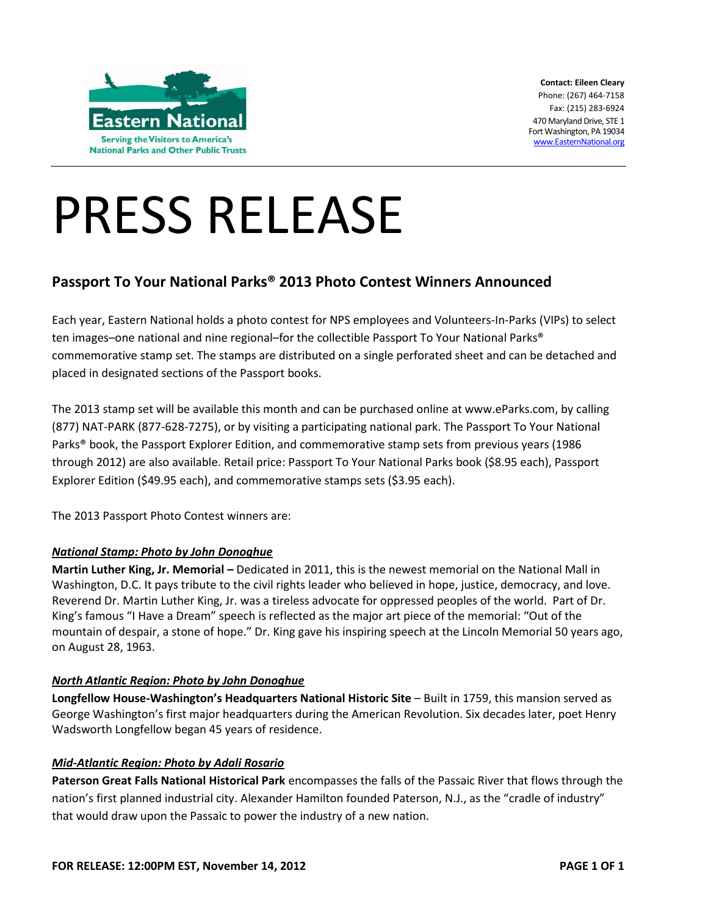

**Contact: Eileen Cleary** Phone: (267) 464-7158 Fax: (215) 283-6924 470 Maryland Drive, STE 1 Fort Washington, PA 19034 [www.EasternNational.org](http://www.easternnational.org/)

# PRESS RELEASE

## **Passport To Your National Parks® 2013 Photo Contest Winners Announced**

Each year, Eastern National holds a photo contest for NPS employees and Volunteers-In-Parks (VIPs) to select ten images–one national and nine regional–for the collectible Passport To Your National Parks® commemorative stamp set. The stamps are distributed on a single perforated sheet and can be detached and placed in designated sections of the Passport books.

The 2013 stamp set will be available this month and can be purchased online at www.eParks.com, by calling (877) NAT-PARK (877-628-7275), or by visiting a participating national park. The Passport To Your National Parks® book, the Passport Explorer Edition, and commemorative stamp sets from previous years (1986 through 2012) are also available. Retail price: Passport To Your National Parks book (\$8.95 each), Passport Explorer Edition (\$49.95 each), and commemorative stamps sets (\$3.95 each).

The 2013 Passport Photo Contest winners are:

#### *National Stamp: Photo by John Donoghue*

**Martin Luther King, Jr. Memorial –** Dedicated in 2011, this is the newest memorial on the National Mall in Washington, D.C. It pays tribute to the civil rights leader who believed in hope, justice, democracy, and love. Reverend Dr. Martin Luther King, Jr. was a tireless advocate for oppressed peoples of the world. Part of Dr. King's famous "I Have a Dream" speech is reflected as the major art piece of the memorial: "Out of the mountain of despair, a stone of hope." Dr. King gave his inspiring speech at the Lincoln Memorial 50 years ago, on August 28, 1963.

#### *North Atlantic Region: Photo by John Donoghue*

**Longfellow House-Washington's Headquarters National Historic Site** – Built in 1759, this mansion served as George Washington's first major headquarters during the American Revolution. Six decades later, poet Henry Wadsworth Longfellow began 45 years of residence.

#### *Mid-Atlantic Region: Photo by Adali Rosario*

**Paterson Great Falls National Historical Park** encompasses the falls of the Passaic River that flows through the nation's first planned industrial city. Alexander Hamilton founded Paterson, N.J., as the "cradle of industry" that would draw upon the Passaic to power the industry of a new nation.